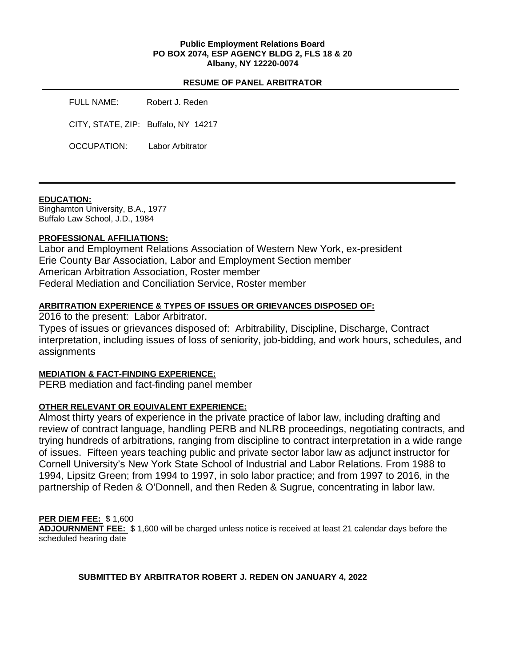#### **Public Employment Relations Board PO BOX 2074, ESP AGENCY BLDG 2, FLS 18 & 20 Albany, NY 12220-0074**

#### **RESUME OF PANEL ARBITRATOR**

FULL NAME: Robert J. Reden CITY, STATE, ZIP: Buffalo, NY 14217 OCCUPATION: Labor Arbitrator

### **EDUCATION:**

Binghamton University, B.A., 1977 Buffalo Law School, J.D., 1984

## **PROFESSIONAL AFFILIATIONS:**

Labor and Employment Relations Association of Western New York, ex-president Erie County Bar Association, Labor and Employment Section member American Arbitration Association, Roster member Federal Mediation and Conciliation Service, Roster member

# **ARBITRATION EXPERIENCE & TYPES OF ISSUES OR GRIEVANCES DISPOSED OF:**

2016 to the present: Labor Arbitrator.

Types of issues or grievances disposed of: Arbitrability, Discipline, Discharge, Contract interpretation, including issues of loss of seniority, job-bidding, and work hours, schedules, and assignments

## **MEDIATION & FACT-FINDING EXPERIENCE:**

PERB mediation and fact-finding panel member

## **OTHER RELEVANT OR EQUIVALENT EXPERIENCE:**

Almost thirty years of experience in the private practice of labor law, including drafting and review of contract language, handling PERB and NLRB proceedings, negotiating contracts, and trying hundreds of arbitrations, ranging from discipline to contract interpretation in a wide range of issues. Fifteen years teaching public and private sector labor law as adjunct instructor for Cornell University's New York State School of Industrial and Labor Relations. From 1988 to 1994, Lipsitz Green; from 1994 to 1997, in solo labor practice; and from 1997 to 2016, in the partnership of Reden & O'Donnell, and then Reden & Sugrue, concentrating in labor law.

## **PER DIEM FEE:** \$ 1,600

**ADJOURNMENT FEE:** \$ 1,600 will be charged unless notice is received at least 21 calendar days before the scheduled hearing date

## **SUBMITTED BY ARBITRATOR ROBERT J. REDEN ON JANUARY 4, 2022**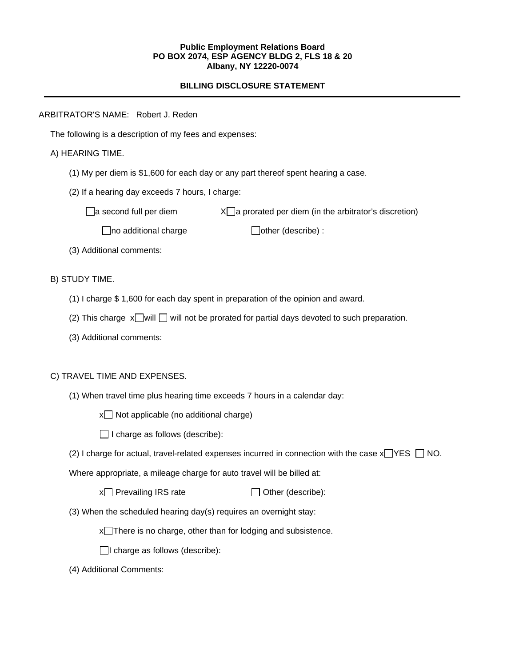#### **Public Employment Relations Board PO BOX 2074, ESP AGENCY BLDG 2, FLS 18 & 20 Albany, NY 12220-0074**

## **BILLING DISCLOSURE STATEMENT**

### ARBITRATOR'S NAME: Robert J. Reden

The following is a description of my fees and expenses:

## A) HEARING TIME.

- (1) My per diem is \$1,600 for each day or any part thereof spent hearing a case.
- (2) If a hearing day exceeds 7 hours, I charge:

 $\Box$ a second full per diem  $X\Box$ a prorated per diem (in the arbitrator's discretion)

 $\Box$ no additional charge  $\Box$ other (describe) :

(3) Additional comments:

B) STUDY TIME.

- (1) I charge \$ 1,600 for each day spent in preparation of the opinion and award.
- (2) This charge  $x$  will  $\Box$  will not be prorated for partial days devoted to such preparation.
- (3) Additional comments:

## C) TRAVEL TIME AND EXPENSES.

(1) When travel time plus hearing time exceeds 7 hours in a calendar day:

 $x \Box$  Not applicable (no additional charge)

 $\Box$  I charge as follows (describe):

(2) I charge for actual, travel-related expenses incurred in connection with the case  $x \rightarrow YES \cap NO$ .

Where appropriate, a mileage charge for auto travel will be billed at:

 $x \cap$  Prevailing IRS rate  $\Box$  Other (describe):

(3) When the scheduled hearing day(s) requires an overnight stay:

 $x$  There is no charge, other than for lodging and subsistence.

 $\Box$ I charge as follows (describe):

(4) Additional Comments: